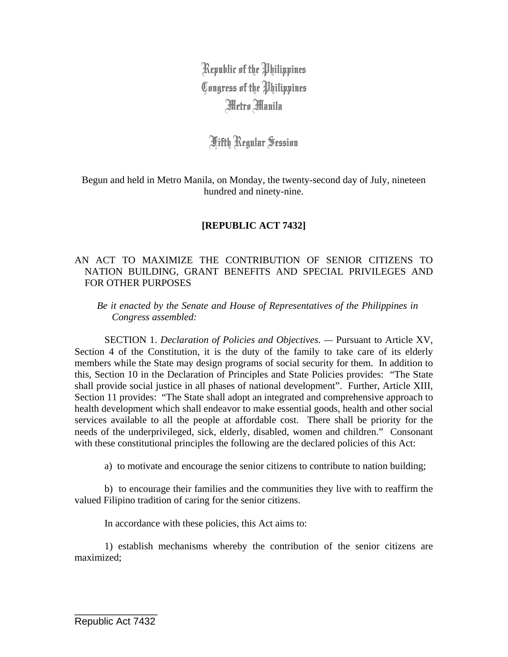Republic of the Philippines Congress of the Philippines Metro Manila

Fifth Regular Session

Begun and held in Metro Manila, on Monday, the twenty-second day of July, nineteen hundred and ninety-nine.

## **[REPUBLIC ACT 7432]**

## AN ACT TO MAXIMIZE THE CONTRIBUTION OF SENIOR CITIZENS TO NATION BUILDING, GRANT BENEFITS AND SPECIAL PRIVILEGES AND FOR OTHER PURPOSES

*Be it enacted by the Senate and House of Representatives of the Philippines in Congress assembled:* 

 SECTION 1. *Declaration of Policies and Objectives. —* Pursuant to Article XV, Section 4 of the Constitution, it is the duty of the family to take care of its elderly members while the State may design programs of social security for them. In addition to this, Section 10 in the Declaration of Principles and State Policies provides: "The State shall provide social justice in all phases of national development". Further, Article XIII, Section 11 provides: "The State shall adopt an integrated and comprehensive approach to health development which shall endeavor to make essential goods, health and other social services available to all the people at affordable cost. There shall be priority for the needs of the underprivileged, sick, elderly, disabled, women and children." Consonant with these constitutional principles the following are the declared policies of this Act:

a) to motivate and encourage the senior citizens to contribute to nation building;

b) to encourage their families and the communities they live with to reaffirm the valued Filipino tradition of caring for the senior citizens.

In accordance with these policies, this Act aims to:

1) establish mechanisms whereby the contribution of the senior citizens are maximized;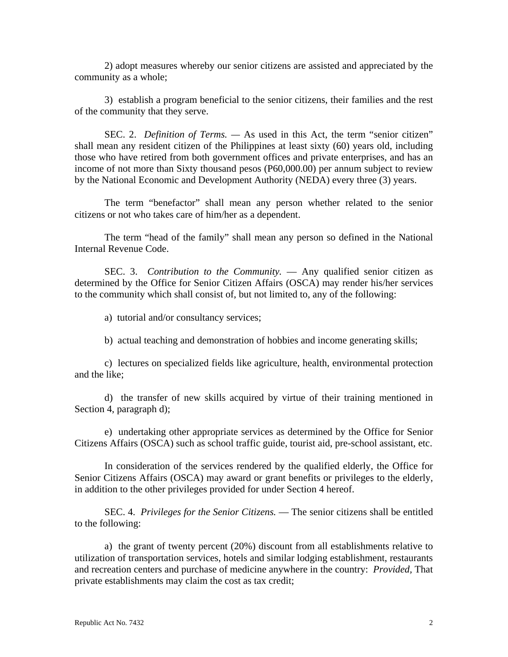2) adopt measures whereby our senior citizens are assisted and appreciated by the community as a whole;

3) establish a program beneficial to the senior citizens, their families and the rest of the community that they serve.

SEC. 2. *Definition of Terms. —* As used in this Act, the term "senior citizen" shall mean any resident citizen of the Philippines at least sixty (60) years old, including those who have retired from both government offices and private enterprises, and has an income of not more than Sixty thousand pesos (P60,000.00) per annum subject to review by the National Economic and Development Authority (NEDA) every three (3) years.

The term "benefactor" shall mean any person whether related to the senior citizens or not who takes care of him/her as a dependent.

The term "head of the family" shall mean any person so defined in the National Internal Revenue Code.

SEC. 3. *Contribution to the Community.* — Any qualified senior citizen as determined by the Office for Senior Citizen Affairs (OSCA) may render his/her services to the community which shall consist of, but not limited to, any of the following:

a) tutorial and/or consultancy services;

b) actual teaching and demonstration of hobbies and income generating skills;

c) lectures on specialized fields like agriculture, health, environmental protection and the like;

d) the transfer of new skills acquired by virtue of their training mentioned in Section 4, paragraph d);

e) undertaking other appropriate services as determined by the Office for Senior Citizens Affairs (OSCA) such as school traffic guide, tourist aid, pre-school assistant, etc.

In consideration of the services rendered by the qualified elderly, the Office for Senior Citizens Affairs (OSCA) may award or grant benefits or privileges to the elderly, in addition to the other privileges provided for under Section 4 hereof.

SEC. 4. *Privileges for the Senior Citizens.* — The senior citizens shall be entitled to the following:

a) the grant of twenty percent (20%) discount from all establishments relative to utilization of transportation services, hotels and similar lodging establishment, restaurants and recreation centers and purchase of medicine anywhere in the country: *Provided,* That private establishments may claim the cost as tax credit;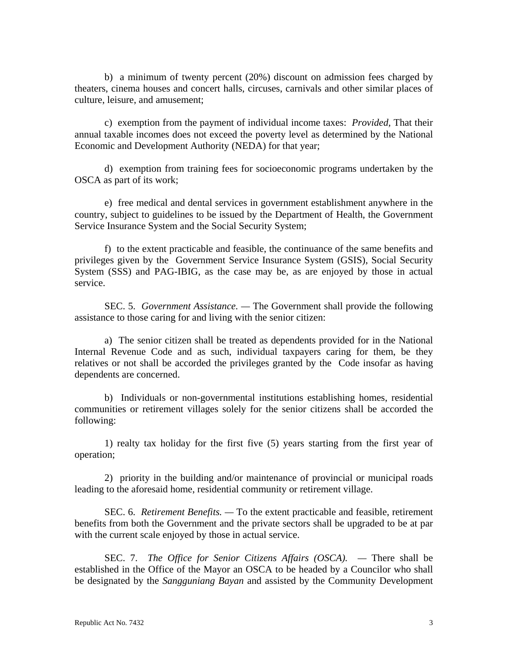b) a minimum of twenty percent (20%) discount on admission fees charged by theaters, cinema houses and concert halls, circuses, carnivals and other similar places of culture, leisure, and amusement;

c) exemption from the payment of individual income taxes: *Provided,* That their annual taxable incomes does not exceed the poverty level as determined by the National Economic and Development Authority (NEDA) for that year;

d) exemption from training fees for socioeconomic programs undertaken by the OSCA as part of its work;

e) free medical and dental services in government establishment anywhere in the country, subject to guidelines to be issued by the Department of Health, the Government Service Insurance System and the Social Security System;

f) to the extent practicable and feasible, the continuance of the same benefits and privileges given by the Government Service Insurance System (GSIS), Social Security System (SSS) and PAG-IBIG, as the case may be, as are enjoyed by those in actual service.

SEC. 5. *Government Assistance. —* The Government shall provide the following assistance to those caring for and living with the senior citizen:

a) The senior citizen shall be treated as dependents provided for in the National Internal Revenue Code and as such, individual taxpayers caring for them, be they relatives or not shall be accorded the privileges granted by the Code insofar as having dependents are concerned.

b) Individuals or non-governmental institutions establishing homes, residential communities or retirement villages solely for the senior citizens shall be accorded the following:

1) realty tax holiday for the first five (5) years starting from the first year of operation;

2) priority in the building and/or maintenance of provincial or municipal roads leading to the aforesaid home, residential community or retirement village.

SEC. 6. *Retirement Benefits. —* To the extent practicable and feasible, retirement benefits from both the Government and the private sectors shall be upgraded to be at par with the current scale enjoyed by those in actual service.

SEC. 7. *The Office for Senior Citizens Affairs (OSCA).* — There shall be established in the Office of the Mayor an OSCA to be headed by a Councilor who shall be designated by the *Sangguniang Bayan* and assisted by the Community Development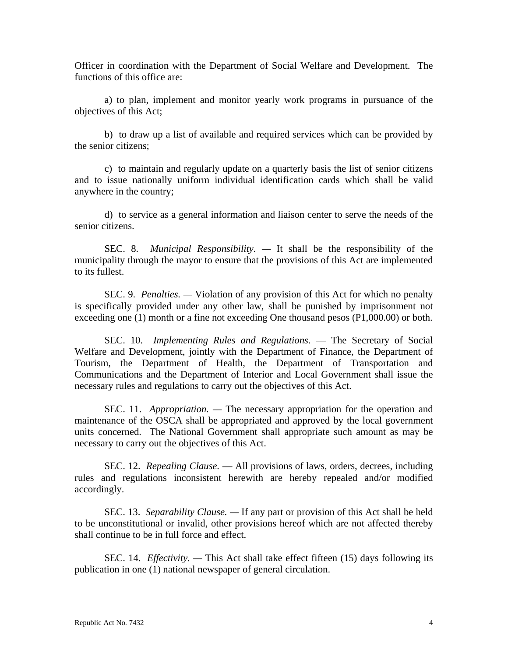Officer in coordination with the Department of Social Welfare and Development. The functions of this office are:

a) to plan, implement and monitor yearly work programs in pursuance of the objectives of this Act;

b) to draw up a list of available and required services which can be provided by the senior citizens;

c) to maintain and regularly update on a quarterly basis the list of senior citizens and to issue nationally uniform individual identification cards which shall be valid anywhere in the country;

d) to service as a general information and liaison center to serve the needs of the senior citizens.

SEC. 8. *Municipal Responsibility. —* It shall be the responsibility of the municipality through the mayor to ensure that the provisions of this Act are implemented to its fullest.

SEC. 9. *Penalties. —* Violation of any provision of this Act for which no penalty is specifically provided under any other law, shall be punished by imprisonment not exceeding one (1) month or a fine not exceeding One thousand pesos (P1,000.00) or both.

SEC. 10. *Implementing Rules and Regulations.* — The Secretary of Social Welfare and Development, jointly with the Department of Finance, the Department of Tourism, the Department of Health, the Department of Transportation and Communications and the Department of Interior and Local Government shall issue the necessary rules and regulations to carry out the objectives of this Act.

SEC. 11. *Appropriation. —* The necessary appropriation for the operation and maintenance of the OSCA shall be appropriated and approved by the local government units concerned. The National Government shall appropriate such amount as may be necessary to carry out the objectives of this Act.

SEC. 12. *Repealing Clause.* — All provisions of laws, orders, decrees, including rules and regulations inconsistent herewith are hereby repealed and/or modified accordingly.

SEC. 13. *Separability Clause. —* If any part or provision of this Act shall be held to be unconstitutional or invalid, other provisions hereof which are not affected thereby shall continue to be in full force and effect.

SEC. 14. *Effectivity. —* This Act shall take effect fifteen (15) days following its publication in one (1) national newspaper of general circulation.